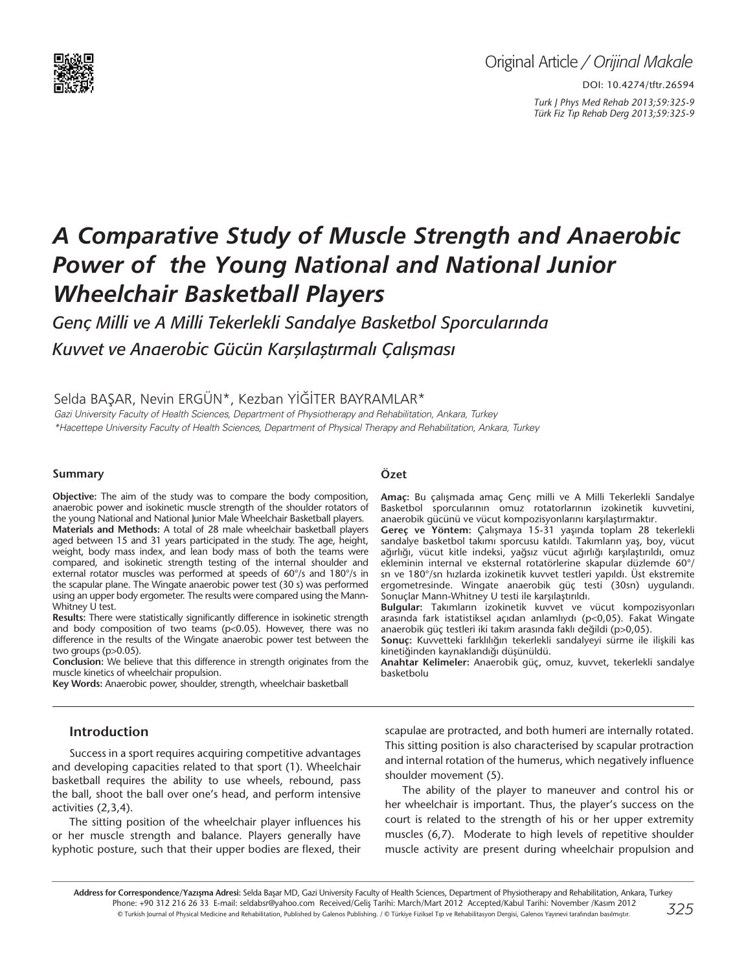

# *A Comparative Study of Muscle Strength and Anaerobic Power of the Young National and National Junior Wheelchair Basketball Players*

*Genç Milli ve A Milli Tekerlekli Sandalye Basketbol Sporcularında Kuvvet ve Anaerobic Gücün Karşılaştırmalı Çalışması*

Selda BAŞAR, Nevin ERGÜN\*, Kezban YİĞİTER BAYRAMLAR\*

Gazi University Faculty of Health Sciences, Department of Physiotherapy and Rehabilitation, Ankara, Turkey \*Hacettepe University Faculty of Health Sciences, Department of Physical Therapy and Rehabilitation, Ankara, Turkey

#### **Summary**

**Objective:** The aim of the study was to compare the body composition, anaerobic power and isokinetic muscle strength of the shoulder rotators of the young National and National Junior Male Wheelchair Basketball players. **Materials and Methods:** A total of 28 male wheelchair basketball players aged between 15 and 31 years participated in the study. The age, height, weight, body mass index, and lean body mass of both the teams were compared, and isokinetic strength testing of the internal shoulder and external rotator muscles was performed at speeds of 60°/s and 180°/s in the scapular plane. The Wingate anaerobic power test (30 s) was performed using an upper body ergometer. The results were compared using the Mann-Whitney U test.

**Results:** There were statistically significantly difference in isokinetic strength and body composition of two teams (p<0.05). However, there was no difference in the results of the Wingate anaerobic power test between the two groups (p>0.05).

**Conclusion:** We believe that this difference in strength originates from the muscle kinetics of wheelchair propulsion.

**Key Words:** Anaerobic power, shoulder, strength, wheelchair basketball

## **Introduction**

Success in a sport requires acquiring competitive advantages and developing capacities related to that sport (1). Wheelchair basketball requires the ability to use wheels, rebound, pass the ball, shoot the ball over one's head, and perform intensive activities (2,3,4).

The sitting position of the wheelchair player influences his or her muscle strength and balance. Players generally have kyphotic posture, such that their upper bodies are flexed, their

#### **Özet**

**Amaç:** Bu çalışmada amaç Genç milli ve A Milli Tekerlekli Sandalye Basketbol sporcularının omuz rotatorlarının izokinetik kuvvetini, anaerobik gücünü ve vücut kompozisyonlarını karşılaştırmaktır.

**Gereç ve Yöntem:** Çalışmaya 15-31 yaşında toplam 28 tekerlekli sandalye basketbol takımı sporcusu katıldı. Takımların yaş, boy, vücut ağırlığı, vücut kitle indeksi, yağsız vücut ağırlığı karşılaştırıldı, omuz ekleminin internal ve eksternal rotatörlerine skapular düzlemde 60°/ sn ve 180°/sn hızlarda izokinetik kuvvet testleri yapıldı. Üst ekstremite ergometresinde. Wingate anaerobik güç testi (30sn) uygulandı. Sonuçlar Mann-Whitney U testi ile karşılaştırıldı.

**Bulgular:** Takımların izokinetik kuvvet ve vücut kompozisyonları arasında fark istatistiksel açıdan anlamlıydı (p<0,05). Fakat Wingate anaerobik güç testleri iki takım arasında faklı değildi (p>0,05).

**Sonuç:** Kuvvetteki farklılığın tekerlekli sandalyeyi sürme ile ilişkili kas kinetiğinden kaynaklandığı düşünüldü.

**Anahtar Kelimeler:** Anaerobik güç, omuz, kuvvet, tekerlekli sandalye basketbolu

scapulae are protracted, and both humeri are internally rotated. This sitting position is also characterised by scapular protraction and internal rotation of the humerus, which negatively influence shoulder movement (5).

The ability of the player to maneuver and control his or her wheelchair is important. Thus, the player's success on the court is related to the strength of his or her upper extremity muscles (6,7). Moderate to high levels of repetitive shoulder muscle activity are present during wheelchair propulsion and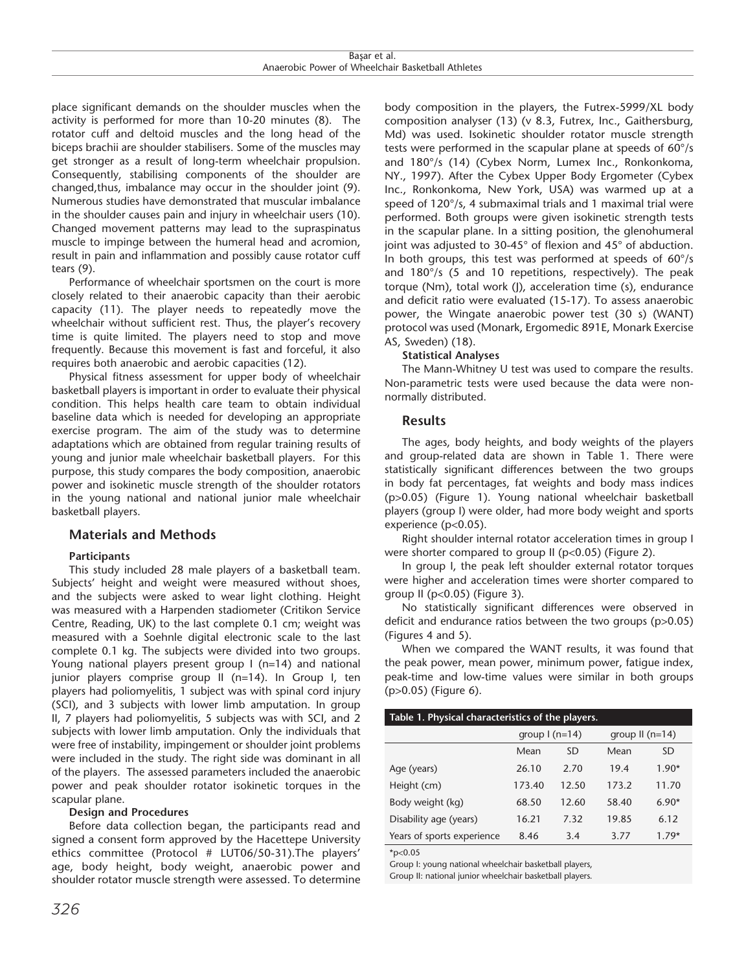place significant demands on the shoulder muscles when the activity is performed for more than 10-20 minutes (8). The rotator cuff and deltoid muscles and the long head of the biceps brachii are shoulder stabilisers. Some of the muscles may get stronger as a result of long-term wheelchair propulsion. Consequently, stabilising components of the shoulder are changed,thus, imbalance may occur in the shoulder joint (9). Numerous studies have demonstrated that muscular imbalance in the shoulder causes pain and injury in wheelchair users (10). Changed movement patterns may lead to the supraspinatus muscle to impinge between the humeral head and acromion, result in pain and inflammation and possibly cause rotator cuff tears (9).

Performance of wheelchair sportsmen on the court is more closely related to their anaerobic capacity than their aerobic capacity (11). The player needs to repeatedly move the wheelchair without sufficient rest. Thus, the player's recovery time is quite limited. The players need to stop and move frequently. Because this movement is fast and forceful, it also requires both anaerobic and aerobic capacities (12).

Physical fitness assessment for upper body of wheelchair basketball players is important in order to evaluate their physical condition. This helps health care team to obtain individual baseline data which is needed for developing an appropriate exercise program. The aim of the study was to determine adaptations which are obtained from regular training results of young and junior male wheelchair basketball players. For this purpose, this study compares the body composition, anaerobic power and isokinetic muscle strength of the shoulder rotators in the young national and national junior male wheelchair basketball players.

### **Materials and Methods**

#### **Participants**

This study included 28 male players of a basketball team. Subjects' height and weight were measured without shoes, and the subjects were asked to wear light clothing. Height was measured with a Harpenden stadiometer (Critikon Service Centre, Reading, UK) to the last complete 0.1 cm; weight was measured with a Soehnle digital electronic scale to the last complete 0.1 kg. The subjects were divided into two groups. Young national players present group I (n=14) and national junior players comprise group II (n=14). In Group I, ten players had poliomyelitis, 1 subject was with spinal cord injury (SCI), and 3 subjects with lower limb amputation. In group II, 7 players had poliomyelitis, 5 subjects was with SCI, and 2 subjects with lower limb amputation. Only the individuals that were free of instability, impingement or shoulder joint problems were included in the study. The right side was dominant in all of the players. The assessed parameters included the anaerobic power and peak shoulder rotator isokinetic torques in the scapular plane.

#### **Design and Procedures**

Before data collection began, the participants read and signed a consent form approved by the Hacettepe University ethics committee (Protocol # LUT06/50-31).The players' age, body height, body weight, anaerobic power and shoulder rotator muscle strength were assessed. To determine body composition in the players, the Futrex-5999/XL body composition analyser (13) (v 8.3, Futrex, Inc., Gaithersburg, Md) was used. Isokinetic shoulder rotator muscle strength tests were performed in the scapular plane at speeds of 60°/s and 180°/s (14) (Cybex Norm, Lumex Inc., Ronkonkoma, NY., 1997). After the Cybex Upper Body Ergometer (Cybex Inc., Ronkonkoma, New York, USA) was warmed up at a speed of 120°/s, 4 submaximal trials and 1 maximal trial were performed. Both groups were given isokinetic strength tests in the scapular plane. In a sitting position, the glenohumeral joint was adjusted to 30-45° of flexion and 45° of abduction. In both groups, this test was performed at speeds of  $60^{\circ}/s$ and 180°/s (5 and 10 repetitions, respectively). The peak torque (Nm), total work (J), acceleration time (s), endurance and deficit ratio were evaluated (15-17). To assess anaerobic power, the Wingate anaerobic power test (30 s) (WANT) protocol was used (Monark, Ergomedic 891E, Monark Exercise AS, Sweden) (18).

#### **Statistical Analyses**

The Mann-Whitney U test was used to compare the results. Non-parametric tests were used because the data were nonnormally distributed.

#### **Results**

The ages, body heights, and body weights of the players and group-related data are shown in Table 1. There were statistically significant differences between the two groups in body fat percentages, fat weights and body mass indices (p>0.05) (Figure 1). Young national wheelchair basketball players (group I) were older, had more body weight and sports experience (p<0.05).

Right shoulder internal rotator acceleration times in group I were shorter compared to group II (p<0.05) (Figure 2).

In group I, the peak left shoulder external rotator torques were higher and acceleration times were shorter compared to group II (p<0.05) (Figure 3).

No statistically significant differences were observed in deficit and endurance ratios between the two groups (p>0.05) (Figures 4 and 5).

When we compared the WANT results, it was found that the peak power, mean power, minimum power, fatigue index, peak-time and low-time values were similar in both groups (p>0.05) (Figure 6).

#### **Table 1. Physical characteristics of the players.**

| المتفاعل المتناسب          |                        |       |                  |           |  |  |
|----------------------------|------------------------|-------|------------------|-----------|--|--|
|                            | group $\lfloor$ (n=14) |       | group $II(n=14)$ |           |  |  |
|                            | Mean                   | SD    | Mean             | <b>SD</b> |  |  |
| Age (years)                | 26.10                  | 2.70  | 19.4             | $1.90*$   |  |  |
| Height (cm)                | 173.40                 | 12.50 | 173.2            | 11.70     |  |  |
| Body weight (kg)           | 68.50                  | 12.60 | 58.40            | $6.90*$   |  |  |
| Disability age (years)     | 16.21                  | 7.32  | 19.85            | 6.12      |  |  |
| Years of sports experience | 8.46                   | 3.4   | 3.77             | $1.79*$   |  |  |

 $*n<0.05$ 

Group I: young national wheelchair basketball players, Group II: national junior wheelchair basketball players.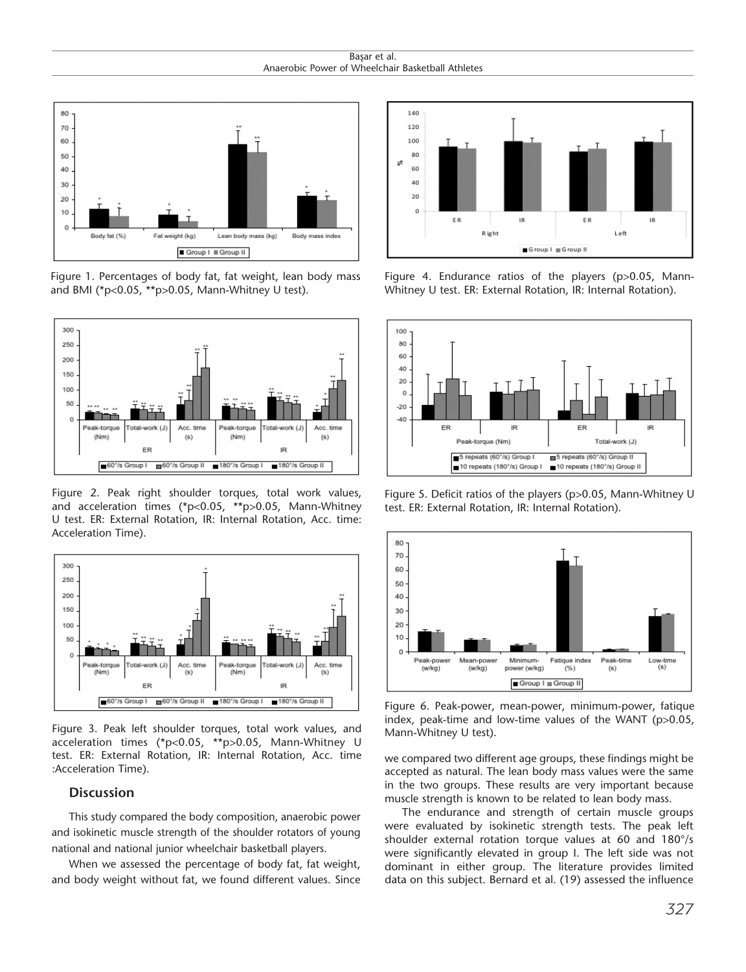Başar et al. Anaerobic Power of Wheelchair Basketball Athletes



Figure 1. Percentages of body fat, fat weight, lean body mass and BMI (\*p<0.05, \*\*p>0.05, Mann-Whitney U test).



Figure 2. Peak right shoulder torques, total work values, and acceleration times (\*p<0.05, \*\*p>0.05, Mann-Whitney U test. ER: External Rotation, IR: Internal Rotation, Acc. time: Acceleration Time).



Figure 3. Peak left shoulder torques, total work values, and acceleration times (\*p<0.05, \*\*p>0.05, Mann-Whitney U test. ER: External Rotation, IR: Internal Rotation, Acc. time :Acceleration Time).

#### **Discussion**

This study compared the body composition, anaerobic power and isokinetic muscle strength of the shoulder rotators of young national and national junior wheelchair basketball players.

When we assessed the percentage of body fat, fat weight, and body weight without fat, we found different values. Since



Figure 4. Endurance ratios of the players (p>0.05, Mann-Whitney U test. ER: External Rotation, IR: Internal Rotation).



Figure 5. Deficit ratios of the players (p>0.05, Mann-Whitney U test. ER: External Rotation, IR: Internal Rotation).



Figure 6. Peak-power, mean-power, minimum-power, fatique index, peak-time and low-time values of the WANT (p>0.05, Mann-Whitney U test).

we compared two different age groups, these findings might be accepted as natural. The lean body mass values were the same in the two groups. These results are very important because muscle strength is known to be related to lean body mass.

The endurance and strength of certain muscle groups were evaluated by isokinetic strength tests. The peak left shoulder external rotation torque values at 60 and 180°/s were significantly elevated in group I. The left side was not dominant in either group. The literature provides limited data on this subject. Bernard et al. (19) assessed the influence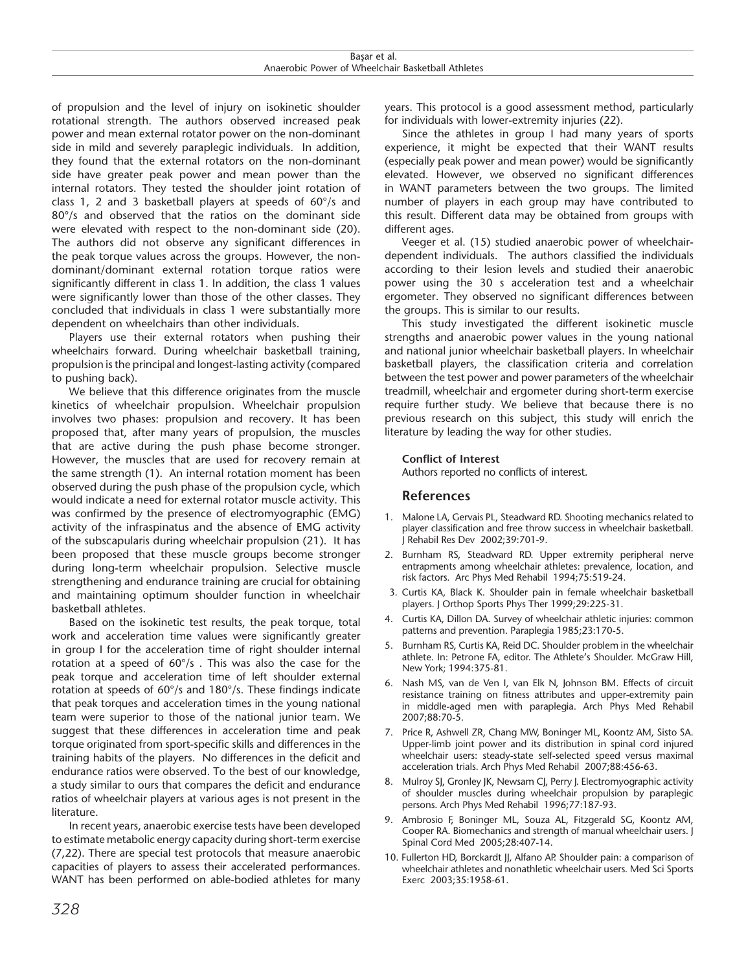| o c<br>aı.                                                                                              |  |
|---------------------------------------------------------------------------------------------------------|--|
| hletes<br>M<br>ים <i>ו</i> ∧יר<br>יומנ<br>nai<br>، امہ<br>$\cdots$<br>זו זו<br>ı⊿⊬<br><b>DANKE</b><br>. |  |

of propulsion and the level of injury on isokinetic shoulder rotational strength. The authors observed increased peak power and mean external rotator power on the non-dominant side in mild and severely paraplegic individuals. In addition, they found that the external rotators on the non-dominant side have greater peak power and mean power than the internal rotators. They tested the shoulder joint rotation of class 1, 2 and 3 basketball players at speeds of 60°/s and 80°/s and observed that the ratios on the dominant side were elevated with respect to the non-dominant side (20). The authors did not observe any significant differences in the peak torque values across the groups. However, the nondominant/dominant external rotation torque ratios were significantly different in class 1. In addition, the class 1 values were significantly lower than those of the other classes. They concluded that individuals in class 1 were substantially more dependent on wheelchairs than other individuals.

Players use their external rotators when pushing their wheelchairs forward. During wheelchair basketball training, propulsion is the principal and longest-lasting activity (compared to pushing back).

We believe that this difference originates from the muscle kinetics of wheelchair propulsion. Wheelchair propulsion involves two phases: propulsion and recovery. It has been proposed that, after many years of propulsion, the muscles that are active during the push phase become stronger. However, the muscles that are used for recovery remain at the same strength (1). An internal rotation moment has been observed during the push phase of the propulsion cycle, which would indicate a need for external rotator muscle activity. This was confirmed by the presence of electromyographic (EMG) activity of the infraspinatus and the absence of EMG activity of the subscapularis during wheelchair propulsion (21). It has been proposed that these muscle groups become stronger during long-term wheelchair propulsion. Selective muscle strengthening and endurance training are crucial for obtaining and maintaining optimum shoulder function in wheelchair basketball athletes.

Based on the isokinetic test results, the peak torque, total work and acceleration time values were significantly greater in group I for the acceleration time of right shoulder internal rotation at a speed of  $60^{\circ}/s$ . This was also the case for the peak torque and acceleration time of left shoulder external rotation at speeds of 60°/s and 180°/s. These findings indicate that peak torques and acceleration times in the young national team were superior to those of the national junior team. We suggest that these differences in acceleration time and peak torque originated from sport-specific skills and differences in the training habits of the players. No differences in the deficit and endurance ratios were observed. To the best of our knowledge, a study similar to ours that compares the deficit and endurance ratios of wheelchair players at various ages is not present in the literature.

In recent years, anaerobic exercise tests have been developed to estimate metabolic energy capacity during short-term exercise (7,22). There are special test protocols that measure anaerobic capacities of players to assess their accelerated performances. WANT has been performed on able-bodied athletes for many years. This protocol is a good assessment method, particularly for individuals with lower-extremity injuries (22).

Since the athletes in group I had many years of sports experience, it might be expected that their WANT results (especially peak power and mean power) would be significantly elevated. However, we observed no significant differences in WANT parameters between the two groups. The limited number of players in each group may have contributed to this result. Different data may be obtained from groups with different ages.

Veeger et al. (15) studied anaerobic power of wheelchairdependent individuals. The authors classified the individuals according to their lesion levels and studied their anaerobic power using the 30 s acceleration test and a wheelchair ergometer. They observed no significant differences between the groups. This is similar to our results.

This study investigated the different isokinetic muscle strengths and anaerobic power values in the young national and national junior wheelchair basketball players. In wheelchair basketball players, the classification criteria and correlation between the test power and power parameters of the wheelchair treadmill, wheelchair and ergometer during short-term exercise require further study. We believe that because there is no previous research on this subject, this study will enrich the literature by leading the way for other studies.

#### **Conflict of Interest**

Authors reported no conflicts of interest.

#### **References**

- 1. Malone LA, Gervais PL, Steadward RD. Shooting mechanics related to player classification and free throw success in wheelchair basketball. J Rehabil Res Dev 2002;39:701-9.
- 2. Burnham RS, Steadward RD. Upper extremity peripheral nerve entrapments among wheelchair athletes: prevalence, location, and risk factors. Arc Phys Med Rehabil 1994;75:519-24.
- 3. Curtis KA, Black K. Shoulder pain in female wheelchair basketball players. J Orthop Sports Phys Ther 1999;29:225-31.
- 4. Curtis KA, Dillon DA. Survey of wheelchair athletic injuries: common patterns and prevention. Paraplegia 1985;23:170-5.
- 5. Burnham RS, Curtis KA, Reid DC. Shoulder problem in the wheelchair athlete. In: Petrone FA, editor. The Athlete's Shoulder. McGraw Hill, New York; 1994:375-81.
- 6. Nash MS, van de Ven I, van Elk N, Johnson BM. Effects of circuit resistance training on fitness attributes and upper-extremity pain in middle-aged men with paraplegia. Arch Phys Med Rehabil 2007;88:70-5.
- 7. Price R, Ashwell ZR, Chang MW, Boninger ML, Koontz AM, Sisto SA. Upper-limb joint power and its distribution in spinal cord injured wheelchair users: steady-state self-selected speed versus maximal acceleration trials. Arch Phys Med Rehabil 2007;88:456-63.
- 8. Mulroy SJ, Gronley JK, Newsam CJ, Perry J. Electromyographic activity of shoulder muscles during wheelchair propulsion by paraplegic persons. Arch Phys Med Rehabil 1996;77:187-93.
- 9. Ambrosio F, Boninger ML, Souza AL, Fitzgerald SG, Koontz AM, Cooper RA. Biomechanics and strength of manual wheelchair users. J Spinal Cord Med 2005;28:407-14.
- 10. Fullerton HD, Borckardt JJ, Alfano AP. Shoulder pain: a comparison of wheelchair athletes and nonathletic wheelchair users. Med Sci Sports Exerc 2003;35:1958-61.